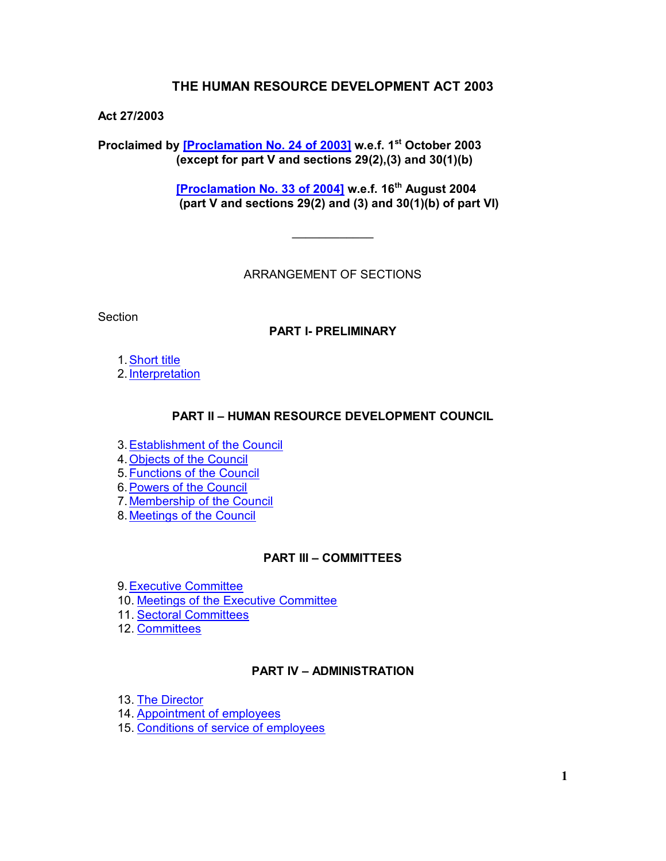# **THE HUMAN RESOURCE DEVELOPMENT ACT 2003**

## **Act 27/2003**

**Proclaimed by [\[Proclamation No. 24 of](https://supremecourt.govmu.org/get-doc-link/Proclamation_No._24_of_2003) 2003] w.e.f. 1st October 2003 (except for part V and sections 29(2),(3) and 30(1)(b)**

> **[\[Proclamation No. 33 of 2004\]](https://supremecourt.govmu.org/get-doc-link/Proclamation_No._33_of_2004) w.e.f. 16th August 2004 (part V and sections 29(2) and (3) and 30(1)(b) of part VI)**

> > ARRANGEMENT OF SECTIONS

**Section** 

## **PART I- PRELIMINARY**

1[.Short title](#page-1-0)

2[.Interpretation](#page-1-1)

#### **PART II – HUMAN RESOURCE DEVELOPMENT COUNCIL**

3[.Establishment of the Council](#page-3-0)

4[.Objects of the Council](#page-3-1)

5[.Functions of the Council](#page-3-2)

6[.Powers of the Council](#page-4-0)

7.Membership [of the Council](#page-5-0)

8[.Meetings of the Council](#page-6-0)

#### **PART III – COMMITTEES**

9[.Executive Committee](#page-6-1)

10. [Meetings of the Executive Committee](#page-6-2)

11. [Sectoral Committees](#page-6-3)

12. [Committees](#page-7-0)

## **PART IV – ADMINISTRATION**

13. [The Director](#page-8-0)

14. [Appointment of employees](#page-8-1)

15. [Conditions of service of employees](#page-9-0)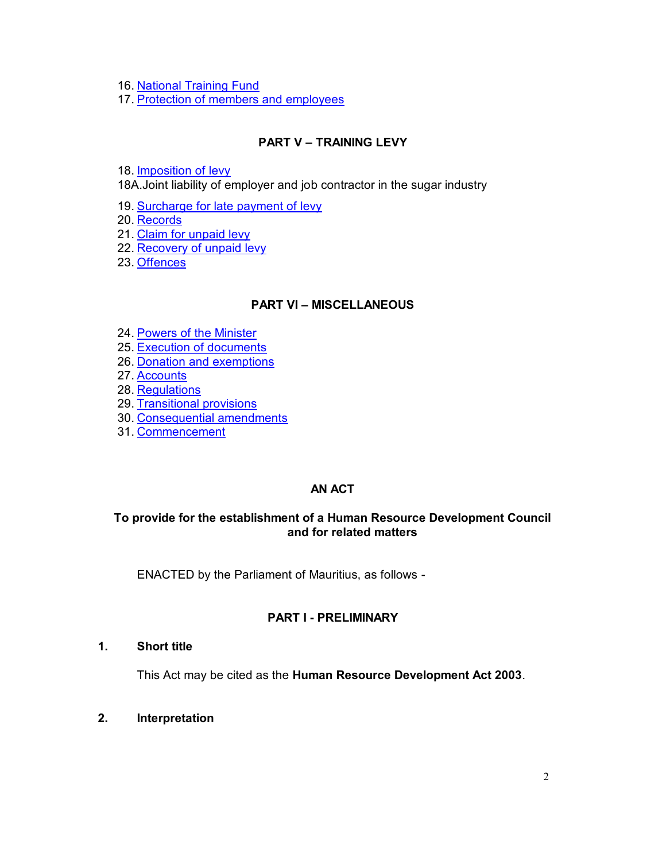16. [National Training Fund](#page-9-1)

17. [Protection of members and employees](#page-10-0)

# **PART V – TRAINING LEVY**

18. [Imposition of levy](#page-10-1)

18A.Joint liability of employer and job contractor in the sugar industry

19. [Surcharge for late payment of levy](#page-13-0)

20. [Records](#page-14-0)

21. [Claim for unpaid levy](#page-14-1)

22. [Recovery of unpaid levy](#page-14-2)

23. [Offences](#page-16-0)

## **PART VI – MISCELLANEOUS**

24. [Powers of the Minister](#page-16-0)

25. [Execution of documents](#page-16-1)

- 26. [Donation and exemptions](#page-17-0)
- 27. [Accounts](#page-17-1)
- 28. [Regulations](#page-17-2)
- 29. [Transitional provisions](#page-17-3)
- 30. [Consequential amendments](#page-18-0)
- 31. [Commencement](#page-18-1)

## **AN ACT**

# **To provide for the establishment of a Human Resource Development Council and for related matters**

ENACTED by the Parliament of Mauritius, as follows -

## **PART I - PRELIMINARY**

### **1. Short title**

<span id="page-1-0"></span>This Act may be cited as the **Human Resource Development Act 2003**.

<span id="page-1-1"></span>**2. Interpretation**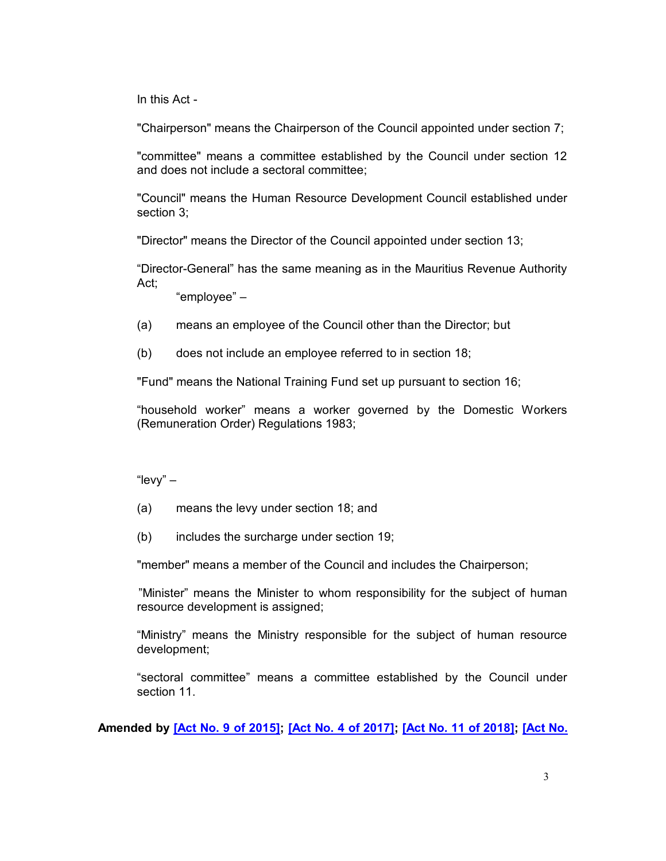In this Act -

"Chairperson" means the Chairperson of the Council appointed under section 7;

"committee" means a committee established by the Council under section 12 and does not include a sectoral committee;

"Council" means the Human Resource Development Council established under section 3;

"Director" means the Director of the Council appointed under section 13;

"Director-General" has the same meaning as in the Mauritius Revenue Authority Act;

"employee" –

- (a) means an employee of the Council other than the Director; but
- (b) does not include an employee referred to in section 18;

"Fund" means the National Training Fund set up pursuant to section 16;

"household worker" means a worker governed by the Domestic Workers (Remuneration Order) Regulations 1983;

"levy" –

- (a) means the levy under section 18; and
- (b) includes the surcharge under section 19;

"member" means a member of the Council and includes the Chairperson;

 "Minister" means the Minister to whom responsibility for the subject of human resource development is assigned;

"Ministry" means the Ministry responsible for the subject of human resource development;

"sectoral committee" means a committee established by the Council under section 11.

**Amended by [\[Act No. 9 of 2015\];](https://supremecourt.govmu.org/get-doc-link/Act_No._9_of_2015) [\[Act No. 4 of 2017\];](https://supremecourt.govmu.org/get-doc-link/Act_No._4_of_2017) [\[Act No. 11 of 2018\];](https://supremecourt.govmu.org/get-doc-link/Act_No._11_of_2018) [\[Act No.](https://supremecourt.govmu.org/get-doc-link/Act_No._7_of_2020)**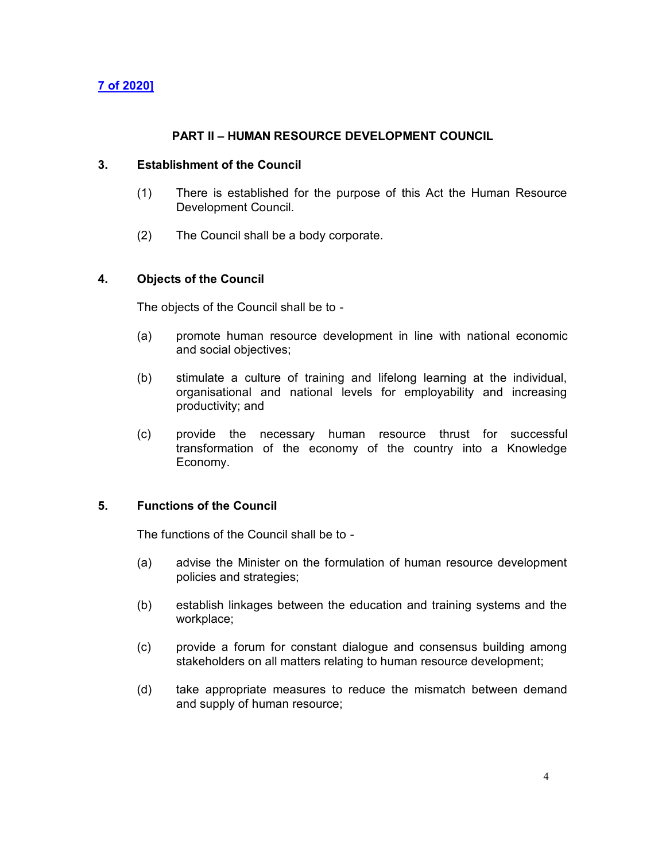## **[7 of 2020\]](https://supremecourt.govmu.org/get-doc-link/Act_No._7_of_2020)**

### **PART II – HUMAN RESOURCE DEVELOPMENT COUNCIL**

#### **3. Establishment of the Council**

- <span id="page-3-0"></span>(1) There is established for the purpose of this Act the Human Resource Development Council.
- (2) The Council shall be a body corporate.

#### **4. Objects of the Council**

<span id="page-3-1"></span>The objects of the Council shall be to -

- (a) promote human resource development in line with national economic and social objectives;
- (b) stimulate a culture of training and lifelong learning at the individual, organisational and national levels for employability and increasing productivity; and
- (c) provide the necessary human resource thrust for successful transformation of the economy of the country into a Knowledge Economy.

## **5. Functions of the Council**

<span id="page-3-2"></span>The functions of the Council shall be to -

- (a) advise the Minister on the formulation of human resource development policies and strategies;
- (b) establish linkages between the education and training systems and the workplace;
- (c) provide a forum for constant dialogue and consensus building among stakeholders on all matters relating to human resource development;
- (d) take appropriate measures to reduce the mismatch between demand and supply of human resource;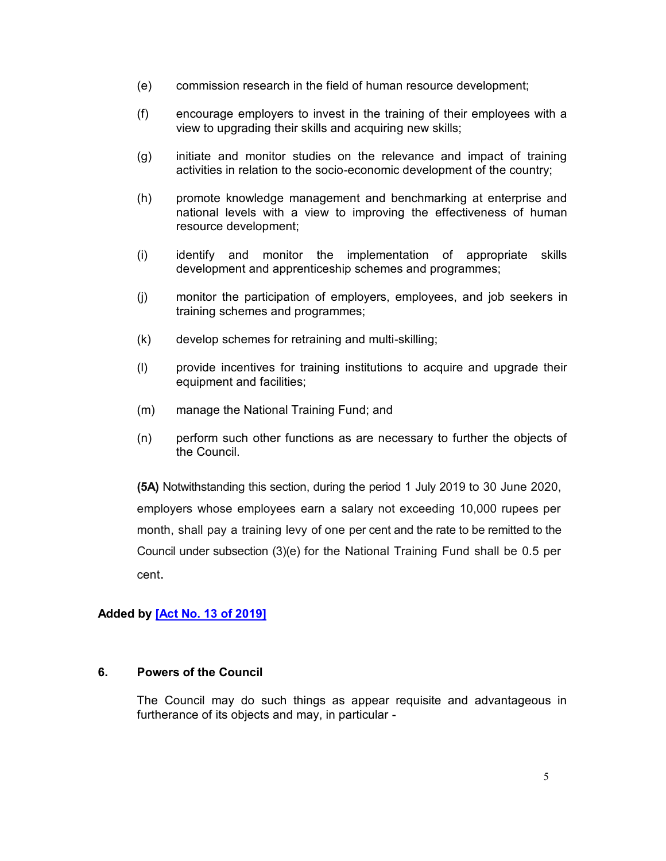- (e) commission research in the field of human resource development;
- (f) encourage employers to invest in the training of their employees with a view to upgrading their skills and acquiring new skills;
- (g) initiate and monitor studies on the relevance and impact of training activities in relation to the socio-economic development of the country;
- (h) promote knowledge management and benchmarking at enterprise and national levels with a view to improving the effectiveness of human resource development;
- (i) identify and monitor the implementation of appropriate skills development and apprenticeship schemes and programmes;
- (j) monitor the participation of employers, employees, and job seekers in training schemes and programmes;
- (k) develop schemes for retraining and multi-skilling;
- (l) provide incentives for training institutions to acquire and upgrade their equipment and facilities;
- (m) manage the National Training Fund; and
- (n) perform such other functions as are necessary to further the objects of the Council.

**(5A)** Notwithstanding this section, during the period 1 July 2019 to 30 June 2020, employers whose employees earn a salary not exceeding 10,000 rupees per month, shall pay a training levy of one per cent and the rate to be remitted to the Council under subsection (3)(e) for the National Training Fund shall be 0.5 per cent.

# **Added by [\[Act No. 13 of 2019\]](https://supremecourt.govmu.org/get-doc-link/Act_No._13_of_2019)**

### **6. Powers of the Council**

<span id="page-4-0"></span>The Council may do such things as appear requisite and advantageous in furtherance of its objects and may, in particular -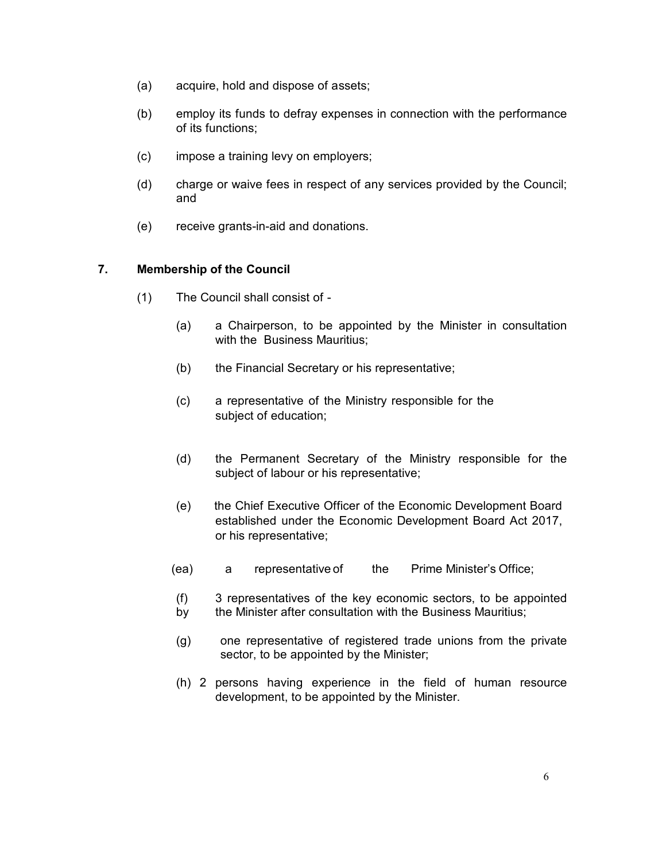- (a) acquire, hold and dispose of assets;
- (b) employ its funds to defray expenses in connection with the performance of its functions;
- (c) impose a training levy on employers;
- (d) charge or waive fees in respect of any services provided by the Council; and
- (e) receive grants-in-aid and donations.

# **7. Membership of the Council**

- <span id="page-5-0"></span>(1) The Council shall consist of -
	- (a) a Chairperson, to be appointed by the Minister in consultation with the Business Mauritius;
	- (b) the Financial Secretary or his representative;
	- (c) a representative of the Ministry responsible for the subject of education;
	- (d) the Permanent Secretary of the Ministry responsible for the subject of labour or his representative;
	- (e) the Chief Executive Officer of the Economic Development Board established under the Economic Development Board Act 2017, or his representative;
	- (ea) a representative of the Prime Minister's Office;
	- (f) 3 representatives of the key economic sectors, to be appointed by the Minister after consultation with the Business Mauritius;
	- (g) one representative of registered trade unions from the private sector, to be appointed by the Minister;
	- (h) 2 persons having experience in the field of human resource development, to be appointed by the Minister.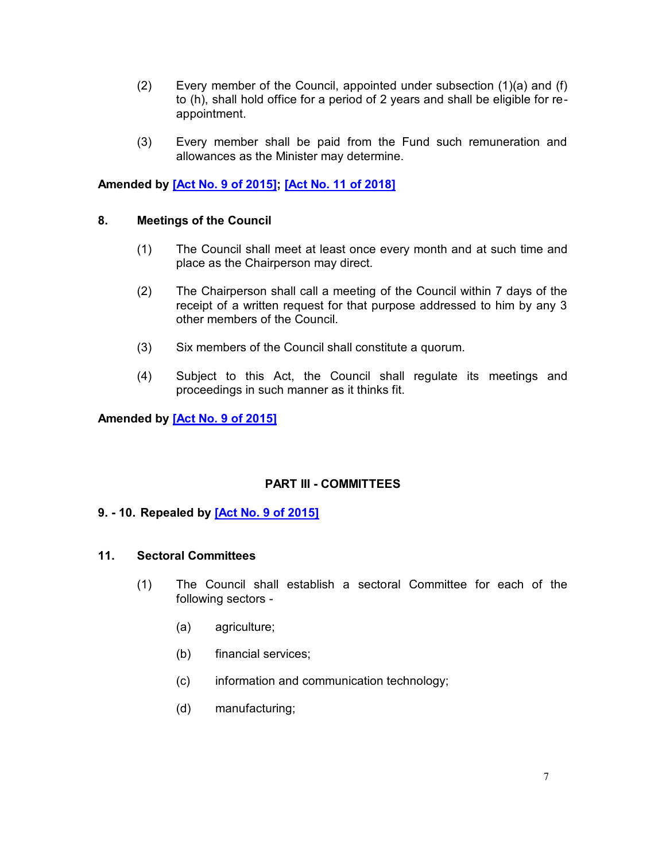- (2) Every member of the Council, appointed under subsection  $(1)(a)$  and  $(f)$ to (h), shall hold office for a period of 2 years and shall be eligible for reappointment.
- (3) Every member shall be paid from the Fund such remuneration and allowances as the Minister may determine.

# **Amended by [\[Act No. 9 of 2015\];](https://supremecourt.govmu.org/get-doc-link/Act_No._9_of_2015) [\[Act No. 11 of 2018\]](https://supremecourt.govmu.org/get-doc-link/Act_No._11_of_2018)**

#### **8. Meetings of the Council**

- <span id="page-6-0"></span>(1) The Council shall meet at least once every month and at such time and place as the Chairperson may direct.
- (2) The Chairperson shall call a meeting of the Council within 7 days of the receipt of a written request for that purpose addressed to him by any 3 other members of the Council.
- (3) Six members of the Council shall constitute a quorum.
- (4) Subject to this Act, the Council shall regulate its meetings and proceedings in such manner as it thinks fit.

#### **Amended by [\[Act No. 9 of 2015\]](https://supremecourt.govmu.org/get-doc-link/Act_No._9_of_2015)**

## **PART III - COMMITTEES**

#### <span id="page-6-2"></span><span id="page-6-1"></span>**9. - 10. Repealed by [\[Act No. 9 of 2015\]](https://supremecourt.govmu.org/get-doc-link/Act_No._9_of_2015)**

#### <span id="page-6-3"></span>**11. Sectoral Committees**

- (1) The Council shall establish a sectoral Committee for each of the following sectors -
	- (a) agriculture;
	- (b) financial services;
	- (c) information and communication technology;
	- (d) manufacturing;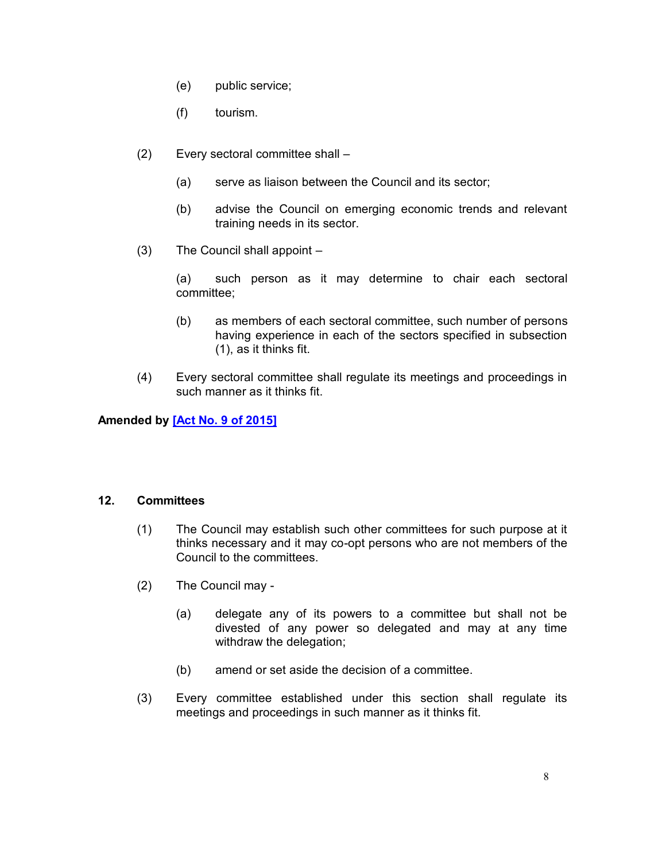- (e) public service;
- (f) tourism.
- (2) Every sectoral committee shall
	- (a) serve as liaison between the Council and its sector;
	- (b) advise the Council on emerging economic trends and relevant training needs in its sector.
- (3) The Council shall appoint –

(a) such person as it may determine to chair each sectoral committee;

- (b) as members of each sectoral committee, such number of persons having experience in each of the sectors specified in subsection (1), as it thinks fit.
- (4) Every sectoral committee shall regulate its meetings and proceedings in such manner as it thinks fit.

## **Amended by [\[Act No. 9 of 2015\]](https://supremecourt.govmu.org/get-doc-link/Act_No._9_of_2015)**

#### **12. Committees**

- <span id="page-7-0"></span>(1) The Council may establish such other committees for such purpose at it thinks necessary and it may co-opt persons who are not members of the Council to the committees.
- (2) The Council may
	- (a) delegate any of its powers to a committee but shall not be divested of any power so delegated and may at any time withdraw the delegation;
	- (b) amend or set aside the decision of a committee.
- (3) Every committee established under this section shall regulate its meetings and proceedings in such manner as it thinks fit.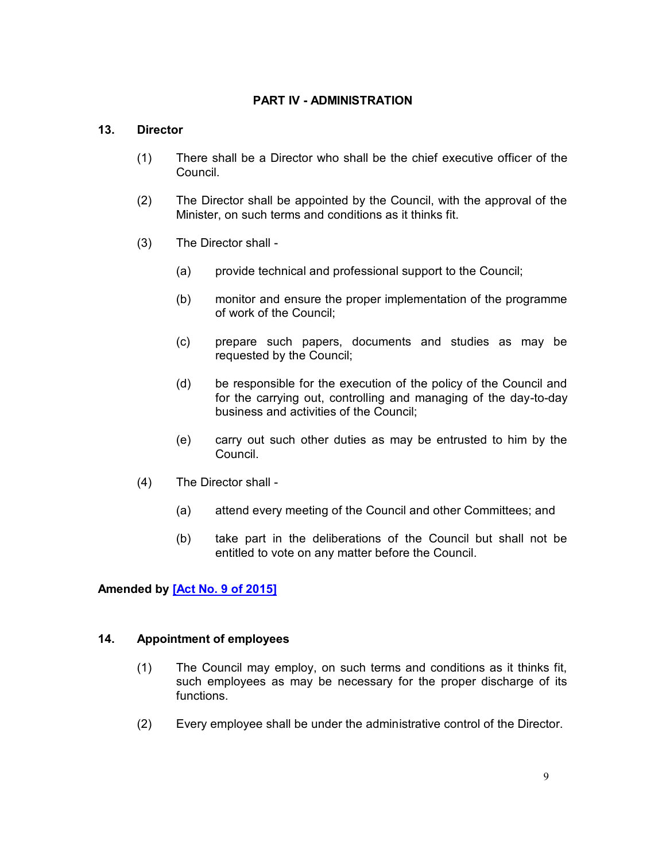# **PART IV - ADMINISTRATION**

### **13. Director**

- <span id="page-8-0"></span>(1) There shall be a Director who shall be the chief executive officer of the Council.
- (2) The Director shall be appointed by the Council, with the approval of the Minister, on such terms and conditions as it thinks fit.
- (3) The Director shall
	- (a) provide technical and professional support to the Council;
	- (b) monitor and ensure the proper implementation of the programme of work of the Council;
	- (c) prepare such papers, documents and studies as may be requested by the Council;
	- (d) be responsible for the execution of the policy of the Council and for the carrying out, controlling and managing of the day-to-day business and activities of the Council;
	- (e) carry out such other duties as may be entrusted to him by the Council.
- (4) The Director shall
	- (a) attend every meeting of the Council and other Committees; and
	- (b) take part in the deliberations of the Council but shall not be entitled to vote on any matter before the Council.

**Amended by [\[Act No. 9 of 2015\]](https://supremecourt.govmu.org/get-doc-link/Act_No._9_of_2015)**

#### **14. Appointment of employees**

- <span id="page-8-1"></span>(1) The Council may employ, on such terms and conditions as it thinks fit, such employees as may be necessary for the proper discharge of its functions.
- (2) Every employee shall be under the administrative control of the Director.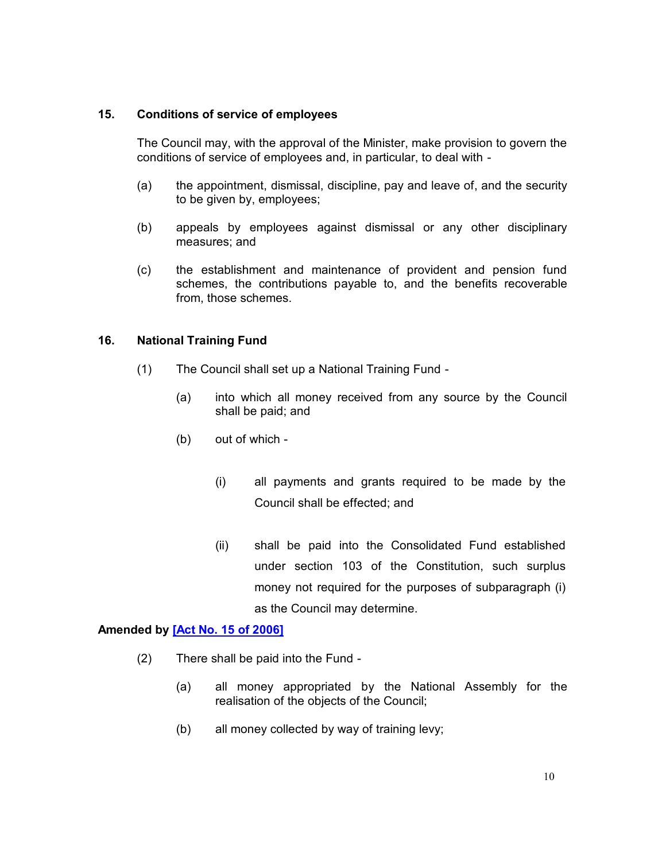#### **15. Conditions of service of employees**

<span id="page-9-0"></span>The Council may, with the approval of the Minister, make provision to govern the conditions of service of employees and, in particular, to deal with -

- (a) the appointment, dismissal, discipline, pay and leave of, and the security to be given by, employees;
- (b) appeals by employees against dismissal or any other disciplinary measures; and
- (c) the establishment and maintenance of provident and pension fund schemes, the contributions payable to, and the benefits recoverable from, those schemes.

## **16. National Training Fund**

- <span id="page-9-1"></span>(1) The Council shall set up a National Training Fund -
	- (a) into which all money received from any source by the Council shall be paid; and
	- (b) out of which
		- (i) all payments and grants required to be made by the Council shall be effected; and
		- (ii) shall be paid into the Consolidated Fund established under section 103 of the Constitution, such surplus money not required for the purposes of subparagraph (i) as the Council may determine.

### **Amended by [\[Act No. 15 of 2006\]](https://supremecourt.govmu.org/get-doc-link/Act_No._15_of_2006)**

- (2) There shall be paid into the Fund
	- (a) all money appropriated by the National Assembly for the realisation of the objects of the Council;
	- (b) all money collected by way of training levy;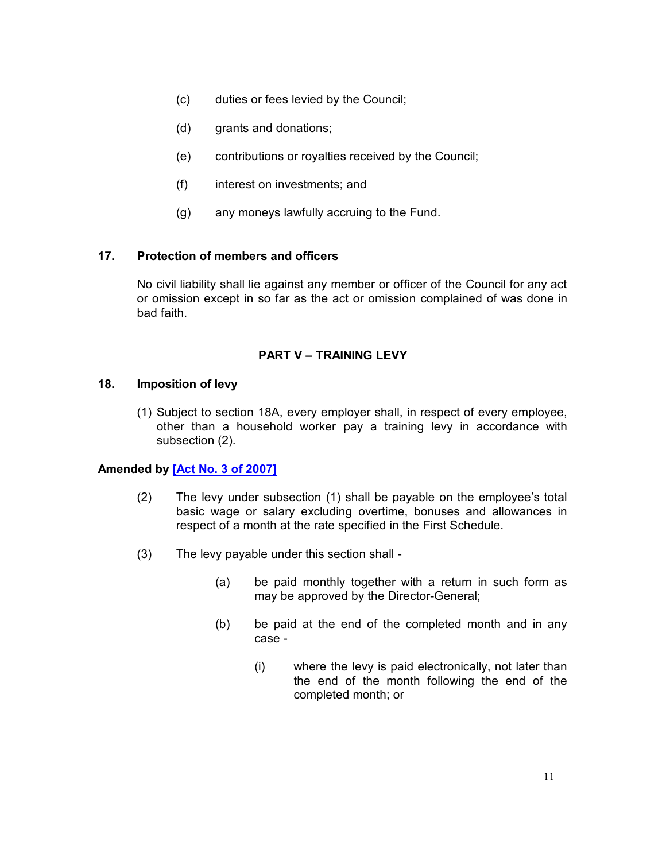- (c) duties or fees levied by the Council;
- (d) grants and donations;
- (e) contributions or royalties received by the Council;
- (f) interest on investments; and
- (g) any moneys lawfully accruing to the Fund.

#### **17. Protection of members and officers**

<span id="page-10-0"></span>No civil liability shall lie against any member or officer of the Council for any act or omission except in so far as the act or omission complained of was done in bad faith.

#### **PART V – TRAINING LEVY**

#### **18. Imposition of levy**

<span id="page-10-1"></span>(1) Subject to section 18A, every employer shall, in respect of every employee, other than a household worker pay a training levy in accordance with subsection (2).

## **Amended by [\[Act No. 3 of 2007\]](https://supremecourt.govmu.org/get-doc-link/Act_No._3_of_2007)**

- (2) The levy under subsection (1) shall be payable on the employee's total basic wage or salary excluding overtime, bonuses and allowances in respect of a month at the rate specified in the First Schedule.
- (3) The levy payable under this section shall
	- (a) be paid monthly together with a return in such form as may be approved by the Director-General;
	- (b) be paid at the end of the completed month and in any case -
		- (i) where the levy is paid electronically, not later than the end of the month following the end of the completed month; or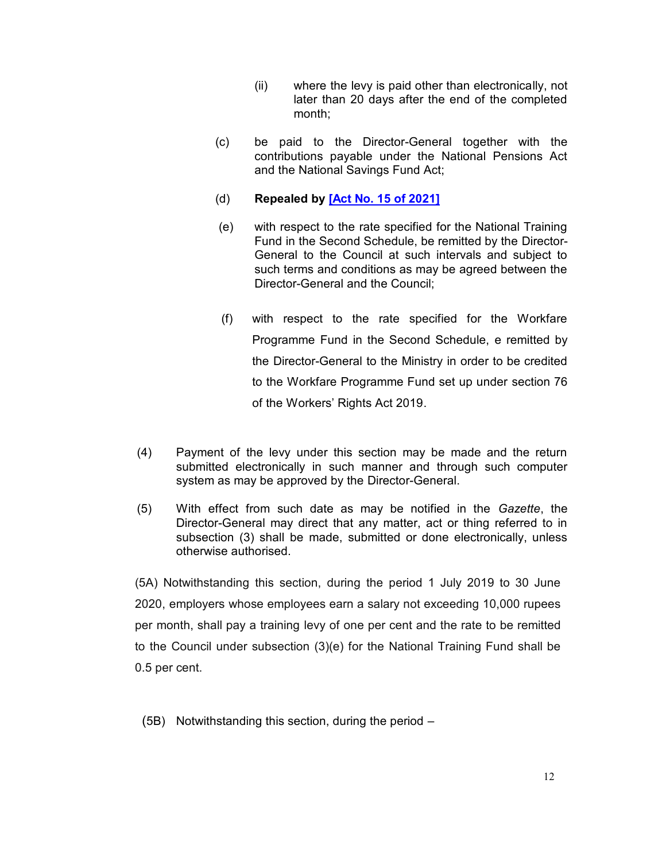- (ii) where the levy is paid other than electronically, not later than 20 days after the end of the completed month;
- (c) be paid to the Director-General together with the contributions payable under the National Pensions Act and the National Savings Fund Act;
- (d) **Repealed by [\[Act No. 15 of 2021\]](https://supremecourt.govmu.org/get-doc-link/Act_No._15_of_2021)**
- (e) with respect to the rate specified for the National Training Fund in the Second Schedule, be remitted by the Director-General to the Council at such intervals and subject to such terms and conditions as may be agreed between the Director-General and the Council;
- (f) with respect to the rate specified for the Workfare Programme Fund in the Second Schedule, e remitted by the Director-General to the Ministry in order to be credited to the Workfare Programme Fund set up under section 76 of the Workers' Rights Act 2019.
- (4) Payment of the levy under this section may be made and the return submitted electronically in such manner and through such computer system as may be approved by the Director-General.
- (5) With effect from such date as may be notified in the *Gazette*, the Director-General may direct that any matter, act or thing referred to in subsection (3) shall be made, submitted or done electronically, unless otherwise authorised.

(5A) Notwithstanding this section, during the period 1 July 2019 to 30 June 2020, employers whose employees earn a salary not exceeding 10,000 rupees per month, shall pay a training levy of one per cent and the rate to be remitted to the Council under subsection (3)(e) for the National Training Fund shall be 0.5 per cent.

(5B) Notwithstanding this section, during the period –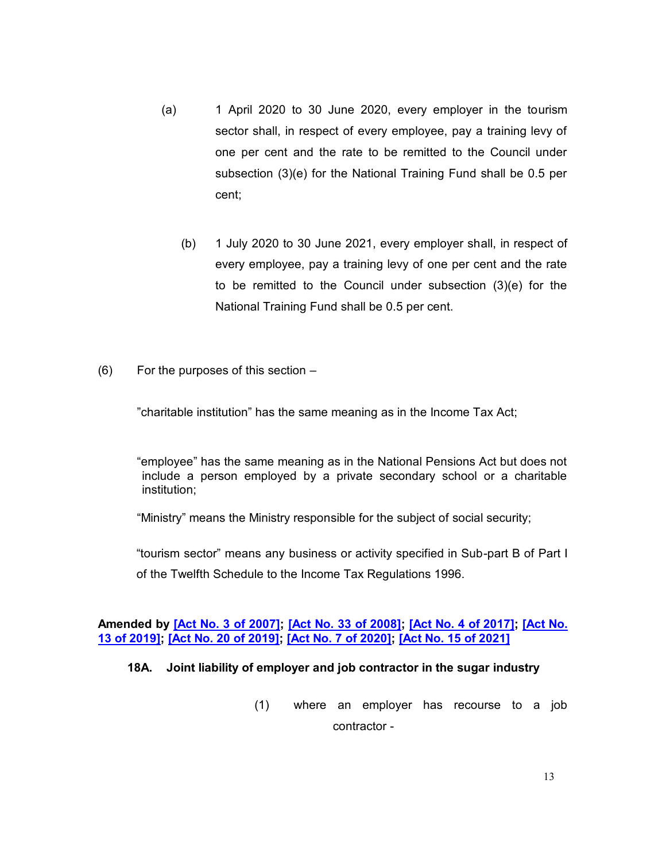- (a) 1 April 2020 to 30 June 2020, every employer in the tourism sector shall, in respect of every employee, pay a training levy of one per cent and the rate to be remitted to the Council under subsection (3)(e) for the National Training Fund shall be 0.5 per cent;
	- (b) 1 July 2020 to 30 June 2021, every employer shall, in respect of every employee, pay a training levy of one per cent and the rate to be remitted to the Council under subsection (3)(e) for the National Training Fund shall be 0.5 per cent.
- (6) For the purposes of this section –

"charitable institution" has the same meaning as in the Income Tax Act;

"employee" has the same meaning as in the National Pensions Act but does not include a person employed by a private secondary school or a charitable institution;

"Ministry" means the Ministry responsible for the subject of social security;

"tourism sector" means any business or activity specified in Sub-part B of Part I of the Twelfth Schedule to the Income Tax Regulations 1996.

#### **Amended by [\[Act No. 3 of 2007\];](https://supremecourt.govmu.org/get-doc-link/Act_No._3_of_2007) [\[Act No. 33 of 2008\];](https://supremecourt.govmu.org/get-doc-link/Act_No._33_of_2008) [\[Act No. 4 of 2017\];](https://supremecourt.govmu.org/get-doc-link/Act_No._4_of_2017) [\[Act No.](https://supremecourt.govmu.org/get-doc-link/Act_No._13_of_2019)  [13 of 2019\];](https://supremecourt.govmu.org/get-doc-link/Act_No._13_of_2019) [\[Act No. 20 of 2019\];](https://supremecourt.govmu.org/get-doc-link/Act_No._20_of_2019) [\[Act No. 7 of 2020\];](https://supremecourt.govmu.org/get-doc-link/Act_No._7_of_2020) [\[Act No. 15 of 2021\]](https://supremecourt.govmu.org/get-doc-link/Act_No._15_of_2021)**

#### **18A. Joint liability of employer and job contractor in the sugar industry**

(1) where an employer has recourse to a job contractor -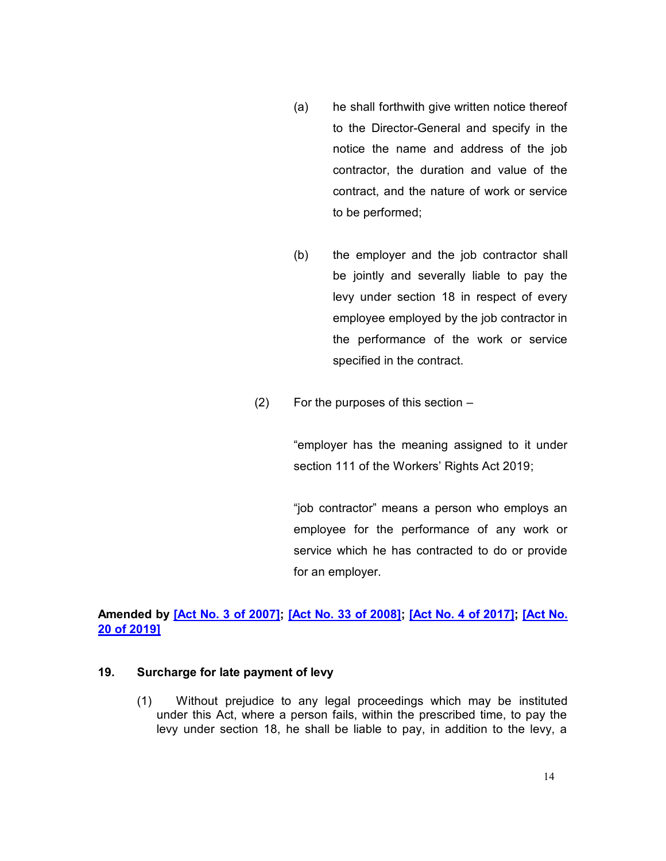- (a) he shall forthwith give written notice thereof to the Director-General and specify in the notice the name and address of the job contractor, the duration and value of the contract, and the nature of work or service to be performed;
- (b) the employer and the job contractor shall be jointly and severally liable to pay the levy under section 18 in respect of every employee employed by the job contractor in the performance of the work or service specified in the contract.
- (2) For the purposes of this section –

"employer has the meaning assigned to it under section 111 of the Workers' Rights Act 2019;

"job contractor" means a person who employs an employee for the performance of any work or service which he has contracted to do or provide for an employer.

# **Amended by [\[Act No. 3 of 2007\];](https://supremecourt.govmu.org/get-doc-link/Act_No._3_of_2007) [\[Act No. 33 of 2008\];](https://supremecourt.govmu.org/get-doc-link/Act_No._33_of_2008) [\[Act No. 4 of 2017\];](https://supremecourt.govmu.org/get-doc-link/Act_No._4_of_2017) [\[Act No.](https://supremecourt.govmu.org/get-doc-link/Act_No._20_of_2019)  [20 of 2019\]](https://supremecourt.govmu.org/get-doc-link/Act_No._20_of_2019)**

#### **19. Surcharge for late payment of levy**

<span id="page-13-0"></span>(1) Without prejudice to any legal proceedings which may be instituted under this Act, where a person fails, within the prescribed time, to pay the levy under section 18, he shall be liable to pay, in addition to the levy, a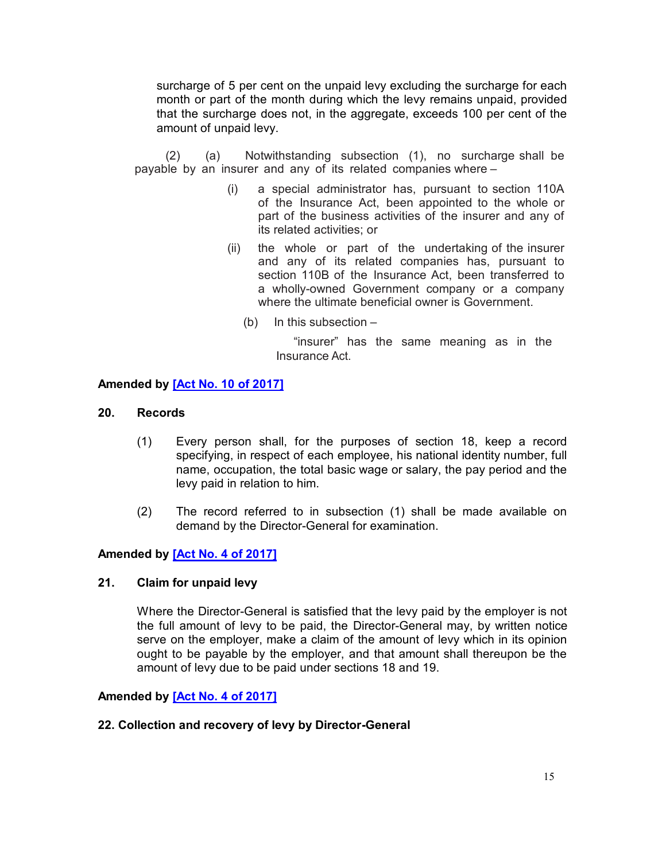surcharge of 5 per cent on the unpaid levy excluding the surcharge for each month or part of the month during which the levy remains unpaid, provided that the surcharge does not, in the aggregate, exceeds 100 per cent of the amount of unpaid levy.

(2) (a) Notwithstanding subsection (1), no surcharge shall be payable by an insurer and any of its related companies where –

- (i) a special administrator has, pursuant to section 110A of the Insurance Act, been appointed to the whole or part of the business activities of the insurer and any of its related activities; or
- (ii) the whole or part of the undertaking of the insurer and any of its related companies has, pursuant to section 110B of the Insurance Act, been transferred to a wholly-owned Government company or a company where the ultimate beneficial owner is Government.
	- (b) In this subsection –

"insurer" has the same meaning as in the Insurance Act.

## **Amended by [\[Act No. 10 of 2017\]](https://supremecourt.govmu.org/get-doc-link/Act_No._10_of_2017)**

## **20. Records**

- <span id="page-14-0"></span>(1) Every person shall, for the purposes of section 18, keep a record specifying, in respect of each employee, his national identity number, full name, occupation, the total basic wage or salary, the pay period and the levy paid in relation to him.
- (2) The record referred to in subsection (1) shall be made available on demand by the Director-General for examination.

## **Amended by [\[Act No. 4 of 2017\]](https://supremecourt.govmu.org/get-doc-link/Act_No._4_of_2017)**

#### **21. Claim for unpaid levy**

<span id="page-14-1"></span>Where the Director-General is satisfied that the levy paid by the employer is not the full amount of levy to be paid, the Director-General may, by written notice serve on the employer, make a claim of the amount of levy which in its opinion ought to be payable by the employer, and that amount shall thereupon be the amount of levy due to be paid under sections 18 and 19.

#### **Amended by [\[Act No. 4 of 2017\]](https://supremecourt.govmu.org/get-doc-link/Act_No._4_of_2017)**

#### <span id="page-14-2"></span>**22. Collection and recovery of levy by Director-General**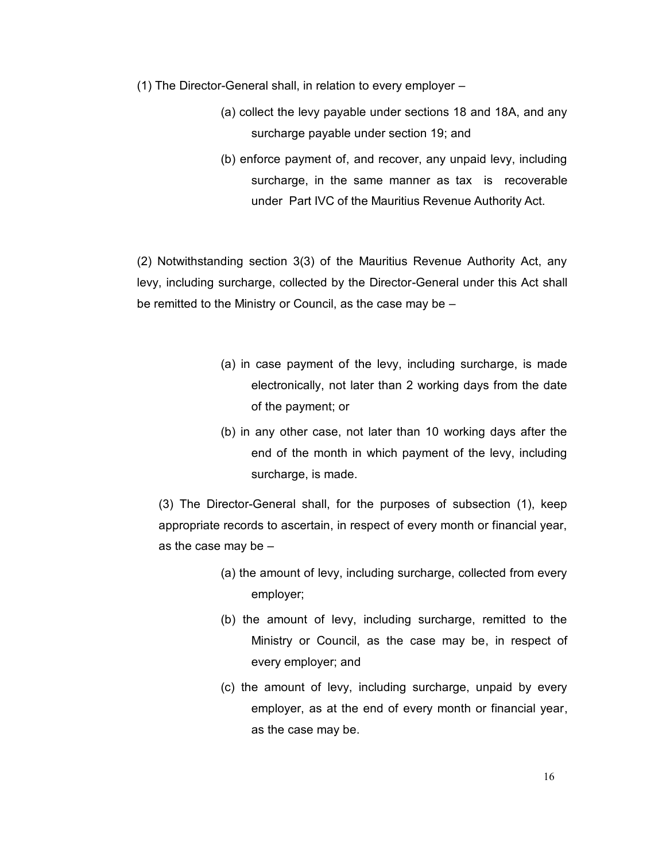- (1) The Director-General shall, in relation to every employer
	- (a) collect the levy payable under sections 18 and 18A, and any surcharge payable under section 19; and
	- (b) enforce payment of, and recover, any unpaid levy, including surcharge, in the same manner as tax is recoverable under Part IVC of the Mauritius Revenue Authority Act.

(2) Notwithstanding section 3(3) of the Mauritius Revenue Authority Act, any levy, including surcharge, collected by the Director-General under this Act shall be remitted to the Ministry or Council, as the case may be –

- (a) in case payment of the levy, including surcharge, is made electronically, not later than 2 working days from the date of the payment; or
- (b) in any other case, not later than 10 working days after the end of the month in which payment of the levy, including surcharge, is made.

(3) The Director-General shall, for the purposes of subsection (1), keep appropriate records to ascertain, in respect of every month or financial year, as the case may be –

- (a) the amount of levy, including surcharge, collected from every employer;
- (b) the amount of levy, including surcharge, remitted to the Ministry or Council, as the case may be, in respect of every employer; and
- (c) the amount of levy, including surcharge, unpaid by every employer, as at the end of every month or financial year, as the case may be.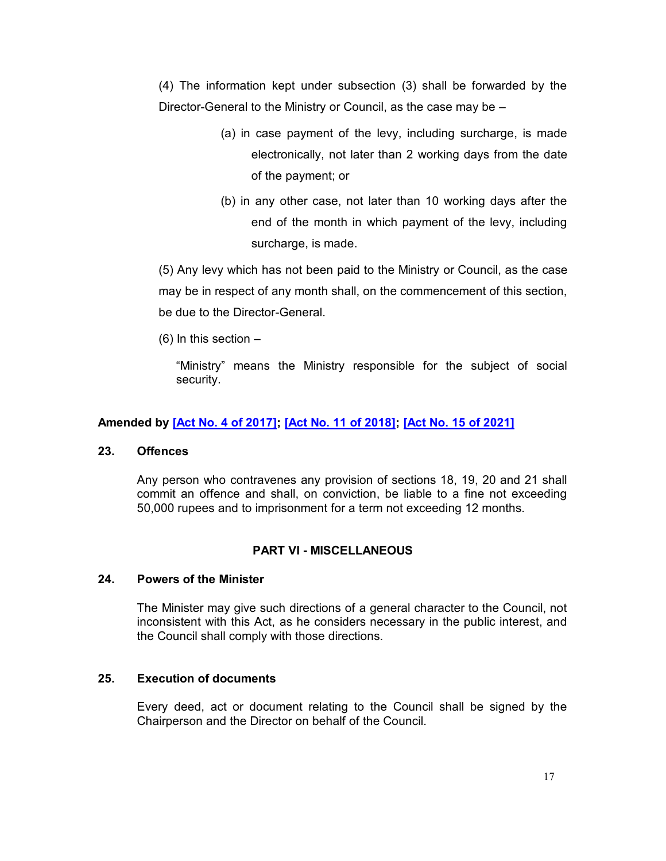(4) The information kept under subsection (3) shall be forwarded by the Director-General to the Ministry or Council, as the case may be –

- (a) in case payment of the levy, including surcharge, is made electronically, not later than 2 working days from the date of the payment; or
- (b) in any other case, not later than 10 working days after the end of the month in which payment of the levy, including surcharge, is made.

(5) Any levy which has not been paid to the Ministry or Council, as the case may be in respect of any month shall, on the commencement of this section, be due to the Director-General.

 $(6)$  In this section  $-$ 

"Ministry" means the Ministry responsible for the subject of social security.

# **Amended by [\[Act No. 4 of 2017\];](https://supremecourt.govmu.org/get-doc-link/Act_No._4_of_2017) [\[Act No. 11 of 2018\];](https://supremecourt.govmu.org/get-doc-link/Act_No._11_of_2018) [\[Act No. 15 of 2021\]](https://supremecourt.govmu.org/get-doc-link/Act_No._15_of_2021)**

# **23. Offences**

Any person who contravenes any provision of sections 18, 19, 20 and 21 shall commit an offence and shall, on conviction, be liable to a fine not exceeding 50,000 rupees and to imprisonment for a term not exceeding 12 months.

# **PART VI - MISCELLANEOUS**

## **24. Powers of the Minister**

<span id="page-16-0"></span>The Minister may give such directions of a general character to the Council, not inconsistent with this Act, as he considers necessary in the public interest, and the Council shall comply with those directions.

# **25. Execution of documents**

<span id="page-16-1"></span>Every deed, act or document relating to the Council shall be signed by the Chairperson and the Director on behalf of the Council.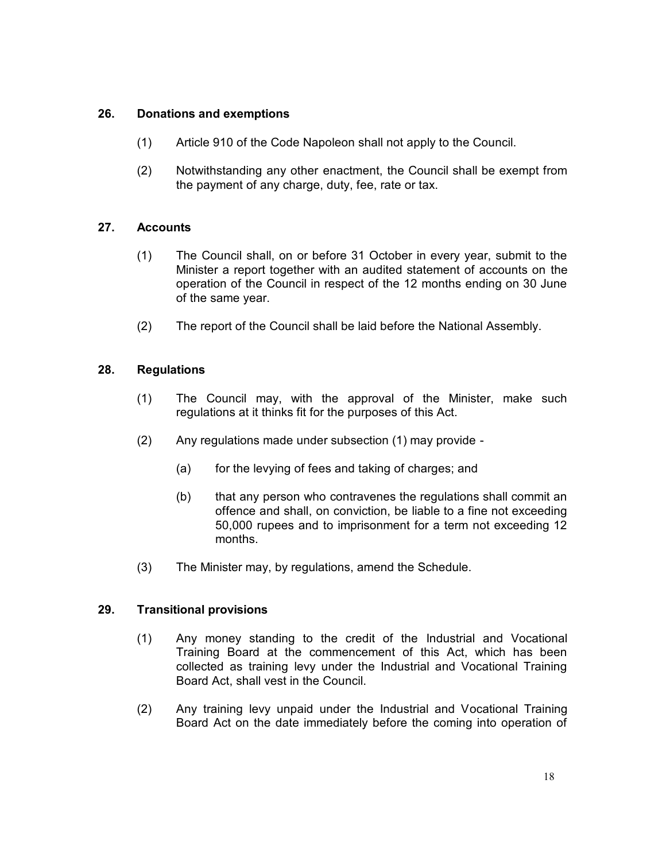# **26. Donations and exemptions**

- <span id="page-17-0"></span>(1) Article 910 of the Code Napoleon shall not apply to the Council.
- (2) Notwithstanding any other enactment, the Council shall be exempt from the payment of any charge, duty, fee, rate or tax.

# **27. Accounts**

- <span id="page-17-1"></span>(1) The Council shall, on or before 31 October in every year, submit to the Minister a report together with an audited statement of accounts on the operation of the Council in respect of the 12 months ending on 30 June of the same year.
- (2) The report of the Council shall be laid before the National Assembly.

# **28. Regulations**

- <span id="page-17-2"></span>(1) The Council may, with the approval of the Minister, make such regulations at it thinks fit for the purposes of this Act.
- (2) Any regulations made under subsection (1) may provide
	- (a) for the levying of fees and taking of charges; and
	- (b) that any person who contravenes the regulations shall commit an offence and shall, on conviction, be liable to a fine not exceeding 50,000 rupees and to imprisonment for a term not exceeding 12 months.
- (3) The Minister may, by regulations, amend the Schedule.

# **29. Transitional provisions**

- <span id="page-17-3"></span>(1) Any money standing to the credit of the Industrial and Vocational Training Board at the commencement of this Act, which has been collected as training levy under the Industrial and Vocational Training Board Act, shall vest in the Council.
- (2) Any training levy unpaid under the Industrial and Vocational Training Board Act on the date immediately before the coming into operation of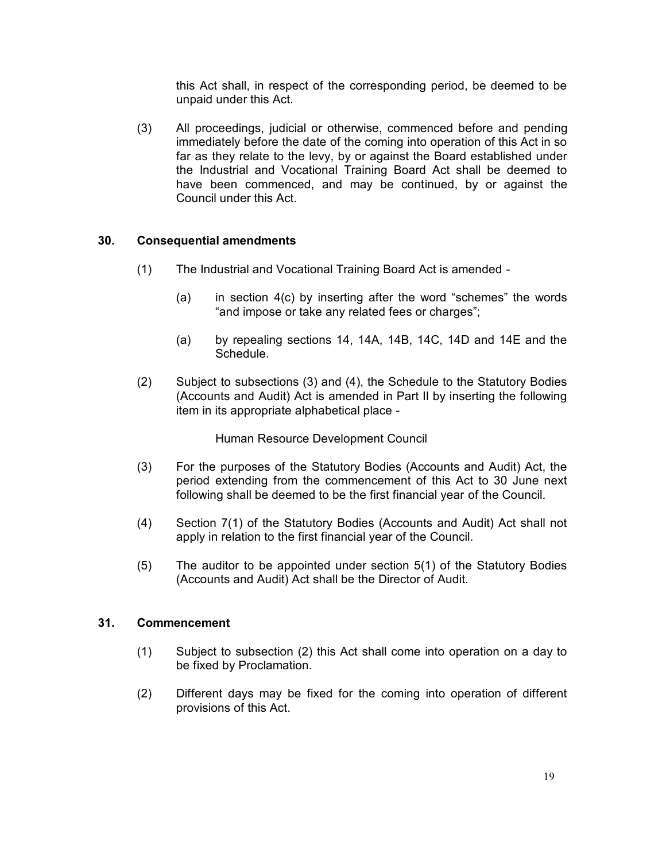this Act shall, in respect of the corresponding period, be deemed to be unpaid under this Act.

(3) All proceedings, judicial or otherwise, commenced before and pending immediately before the date of the coming into operation of this Act in so far as they relate to the levy, by or against the Board established under the Industrial and Vocational Training Board Act shall be deemed to have been commenced, and may be continued, by or against the Council under this Act.

# **30. Consequential amendments**

- <span id="page-18-0"></span>(1) The Industrial and Vocational Training Board Act is amended -
	- (a) in section 4(c) by inserting after the word "schemes" the words "and impose or take any related fees or charges";
	- (a) by repealing sections 14, 14A, 14B, 14C, 14D and 14E and the Schedule.
- (2) Subject to subsections (3) and (4), the Schedule to the Statutory Bodies (Accounts and Audit) Act is amended in Part II by inserting the following item in its appropriate alphabetical place -

Human Resource Development Council

- (3) For the purposes of the Statutory Bodies (Accounts and Audit) Act, the period extending from the commencement of this Act to 30 June next following shall be deemed to be the first financial year of the Council.
- (4) Section 7(1) of the Statutory Bodies (Accounts and Audit) Act shall not apply in relation to the first financial year of the Council.
- (5) The auditor to be appointed under section 5(1) of the Statutory Bodies (Accounts and Audit) Act shall be the Director of Audit.

# **31. Commencement**

- <span id="page-18-1"></span>(1) Subject to subsection (2) this Act shall come into operation on a day to be fixed by Proclamation.
- (2) Different days may be fixed for the coming into operation of different provisions of this Act.